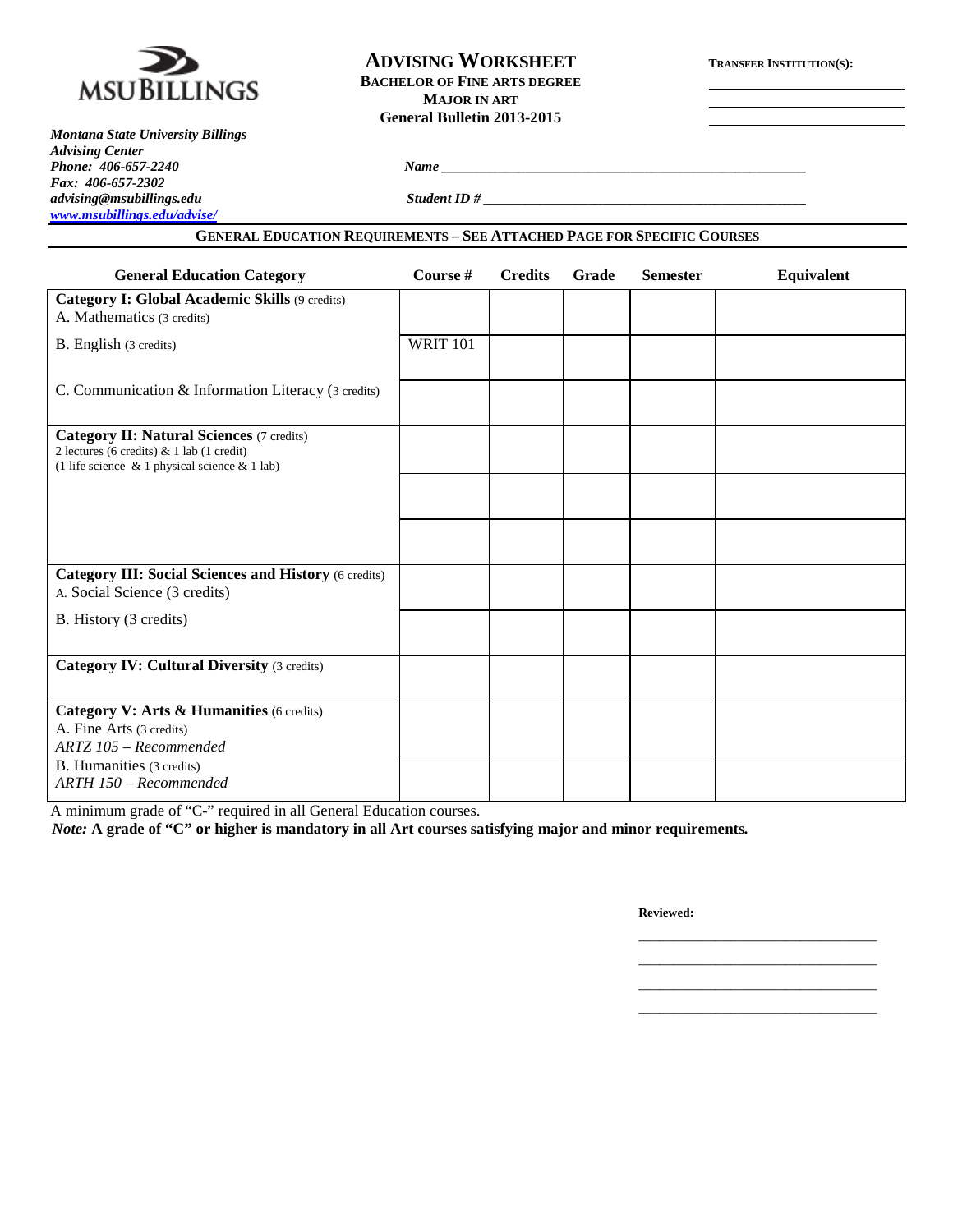

## **ADVISING WORKSHEET TRANSFER INSTITUTION(S): BACHELOR OF FINE ARTS DEGREE MAJOR IN ART General Bulletin 2013-2015**

*Montana State University Billings Advising Center Fax: 406-657-2302 [www.msubillings.edu/advise/](http://www.msubillings.edu/advise/)*

*Phone: 406-657-2240 Name \_\_\_\_\_\_\_\_\_\_\_\_\_\_\_\_\_\_\_\_\_\_\_\_\_\_\_\_\_\_\_\_\_\_\_\_\_\_\_\_\_\_\_\_\_\_\_\_\_\_\_\_*

*advising@msubillings.edu Student ID # \_\_\_\_\_\_\_\_\_\_\_\_\_\_\_\_\_\_\_\_\_\_\_\_\_\_\_\_\_\_\_\_\_\_\_\_\_\_\_\_\_\_\_\_\_\_*

## **GENERAL EDUCATION REQUIREMENTS – SEE ATTACHED PAGE FOR SPECIFIC COURSES**

| <b>General Education Category</b>                                                                                                                      | Course #        | <b>Credits</b> | Grade | <b>Semester</b> | Equivalent |
|--------------------------------------------------------------------------------------------------------------------------------------------------------|-----------------|----------------|-------|-----------------|------------|
| Category I: Global Academic Skills (9 credits)<br>A. Mathematics (3 credits)                                                                           |                 |                |       |                 |            |
| B. English (3 credits)                                                                                                                                 | <b>WRIT 101</b> |                |       |                 |            |
| C. Communication & Information Literacy (3 credits)                                                                                                    |                 |                |       |                 |            |
| <b>Category II: Natural Sciences (7 credits)</b><br>2 lectures (6 credits) $& 1$ lab (1 credit)<br>(1 life science $\&$ 1 physical science $\&$ 1 lab) |                 |                |       |                 |            |
|                                                                                                                                                        |                 |                |       |                 |            |
|                                                                                                                                                        |                 |                |       |                 |            |
| <b>Category III: Social Sciences and History (6 credits)</b><br>A. Social Science (3 credits)                                                          |                 |                |       |                 |            |
| B. History (3 credits)                                                                                                                                 |                 |                |       |                 |            |
| <b>Category IV: Cultural Diversity (3 credits)</b>                                                                                                     |                 |                |       |                 |            |
| Category V: Arts & Humanities (6 credits)<br>A. Fine Arts (3 credits)<br>$ARTZ$ 105 – Recommended                                                      |                 |                |       |                 |            |
| B. Humanities (3 credits)<br>$ARTH$ 150 – Recommended                                                                                                  |                 |                |       |                 |            |

A minimum grade of "C-" required in all General Education courses.

*Note:* **A grade of "C" or higher is mandatory in all Art courses satisfying major and minor requirements***.*

**Reviewed:**

\_\_\_\_\_\_\_\_\_\_\_\_\_\_\_\_\_\_\_\_\_\_\_\_\_\_\_\_\_\_\_\_\_\_ \_\_\_\_\_\_\_\_\_\_\_\_\_\_\_\_\_\_\_\_\_\_\_\_\_\_\_\_\_\_\_\_\_\_

\_\_\_\_\_\_\_\_\_\_\_\_\_\_\_\_\_\_\_\_\_\_\_\_\_\_\_\_\_\_\_\_\_\_ \_\_\_\_\_\_\_\_\_\_\_\_\_\_\_\_\_\_\_\_\_\_\_\_\_\_\_\_\_\_\_\_\_\_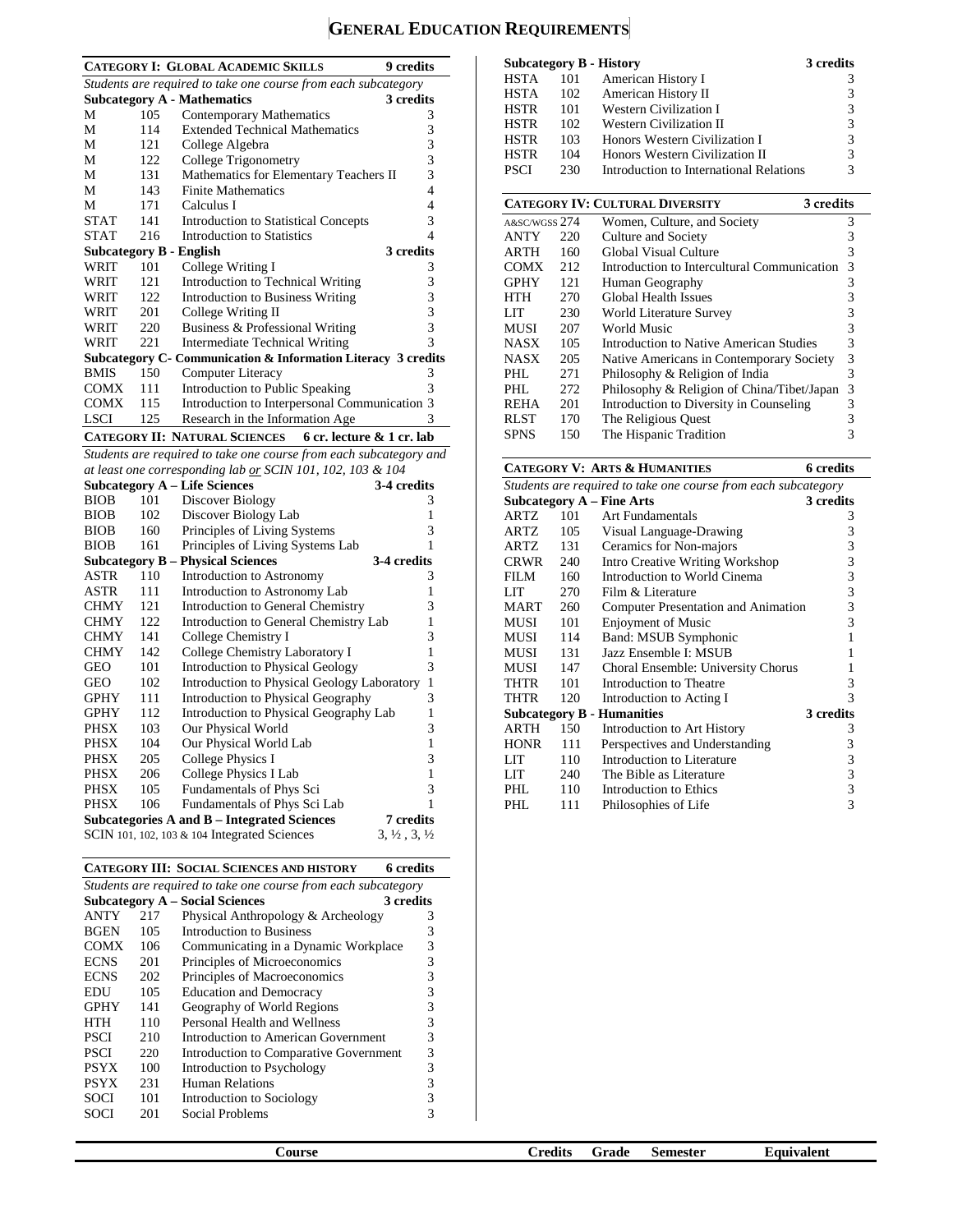# **GENERAL EDUCATION REQUIREMENTS**

|             |     | <b>CATEGORY I: GLOBAL ACADEMIC SKILLS</b>                          | <b>9</b> credits                 |
|-------------|-----|--------------------------------------------------------------------|----------------------------------|
|             |     | Students are required to take one course from each subcategory     |                                  |
|             |     | <b>Subcategory A - Mathematics</b>                                 | 3 credits                        |
| М           | 105 | <b>Contemporary Mathematics</b>                                    | 3                                |
| M           | 114 | <b>Extended Technical Mathematics</b>                              | 3                                |
| М           | 121 | College Algebra                                                    | 3                                |
| М           | 122 | College Trigonometry                                               | 3                                |
| М           | 131 | Mathematics for Elementary Teachers II                             | 3                                |
| М           | 143 | <b>Finite Mathematics</b>                                          | 4                                |
| M           | 171 | Calculus I                                                         | 4                                |
| <b>STAT</b> | 141 | <b>Introduction to Statistical Concepts</b>                        | 3                                |
| <b>STAT</b> | 216 | <b>Introduction to Statistics</b>                                  | 4                                |
|             |     | <b>Subcategory B - English</b>                                     | 3 credits                        |
| WRIT        | 101 | College Writing I                                                  | 3                                |
| WRIT        | 121 | Introduction to Technical Writing                                  | 3                                |
| <b>WRIT</b> | 122 | <b>Introduction to Business Writing</b>                            | 3                                |
| WRIT        | 201 | College Writing II                                                 | 3                                |
| WRIT        | 220 | Business & Professional Writing                                    | 3                                |
| WRIT        | 221 | <b>Intermediate Technical Writing</b>                              | 3                                |
|             |     | Subcategory C- Communication & Information Literacy 3 credits      |                                  |
| <b>BMIS</b> | 150 | <b>Computer Literacy</b>                                           | 3                                |
| <b>COMX</b> | 111 | <b>Introduction to Public Speaking</b>                             | 3                                |
| <b>COMX</b> | 115 | Introduction to Interpersonal Communication 3                      |                                  |
| <b>LSCI</b> | 125 | Research in the Information Age                                    | 3                                |
|             |     | <b>CATEGORY II: NATURAL SCIENCES</b><br>6 cr. lecture & 1 cr. lab  |                                  |
|             |     | Students are required to take one course from each subcategory and |                                  |
|             |     | at least one corresponding lab or SCIN 101, 102, 103 & 104         |                                  |
|             |     | <b>Subcategory A - Life Sciences</b>                               | 3-4 credits                      |
| <b>BIOB</b> | 101 | Discover Biology                                                   | 3                                |
| <b>BIOB</b> | 102 | Discover Biology Lab                                               | $\mathbf{1}$                     |
| <b>BIOB</b> | 160 | Principles of Living Systems                                       | 3                                |
| <b>BIOB</b> | 161 | Principles of Living Systems Lab                                   | 1                                |
|             |     | <b>Subcategory B - Physical Sciences</b>                           | 3-4 credits                      |
| ASTR        | 110 | Introduction to Astronomy                                          | 3                                |
| <b>ASTR</b> | 111 | Introduction to Astronomy Lab                                      | 1                                |
| <b>CHMY</b> | 121 | Introduction to General Chemistry                                  | 3                                |
| <b>CHMY</b> | 122 | Introduction to General Chemistry Lab                              | 1                                |
| <b>CHMY</b> | 141 | College Chemistry I                                                | 3                                |
| <b>CHMY</b> | 142 | College Chemistry Laboratory I                                     | 1                                |
| <b>GEO</b>  | 101 | <b>Introduction to Physical Geology</b>                            | 3                                |
| <b>GEO</b>  | 102 | Introduction to Physical Geology Laboratory                        | 1                                |
| <b>GPHY</b> | 111 | Introduction to Physical Geography                                 | 3                                |
| <b>GPHY</b> | 112 | Introduction to Physical Geography Lab                             | 1                                |
| <b>PHSX</b> | 103 | Our Physical World                                                 | 3                                |
| <b>PHSX</b> | 104 | Our Physical World Lab                                             | 1                                |
| <b>PHSX</b> | 205 | College Physics I                                                  | 3                                |
| <b>PHSX</b> | 206 | College Physics I Lab                                              | 1                                |
| PHSX        | 105 | Fundamentals of Phys Sci                                           | 3                                |
| <b>PHSX</b> | 106 | Fundamentals of Phys Sci Lab                                       | 1                                |
|             |     | <b>Subcategories A and B – Integrated Sciences</b>                 | 7 credits                        |
|             |     | SCIN 101, 102, 103 $& 104$ Integrated Sciences                     | $3, \frac{1}{2}, 3, \frac{1}{2}$ |
|             |     |                                                                    |                                  |

|                                                                |     | <b>CATEGORY III: SOCIAL SCIENCES AND HISTORY</b> | 6 credits |  |  |
|----------------------------------------------------------------|-----|--------------------------------------------------|-----------|--|--|
| Students are required to take one course from each subcategory |     |                                                  |           |  |  |
|                                                                |     | <b>Subcategory A – Social Sciences</b>           | 3 credits |  |  |
| ANTY                                                           | 217 | Physical Anthropology & Archeology               | 3         |  |  |
| <b>BGEN</b>                                                    | 105 | Introduction to Business                         | 3         |  |  |
| <b>COMX</b>                                                    | 106 | Communicating in a Dynamic Workplace             | 3         |  |  |
| <b>ECNS</b>                                                    | 201 | Principles of Microeconomics                     | 3         |  |  |
| <b>ECNS</b>                                                    | 202 | Principles of Macroeconomics                     | 3         |  |  |
| EDU                                                            | 105 | <b>Education and Democracy</b>                   | 3         |  |  |
| <b>GPHY</b>                                                    | 141 | Geography of World Regions                       | 3         |  |  |
| HTH                                                            | 110 | Personal Health and Wellness                     | 3         |  |  |
| <b>PSCI</b>                                                    | 210 | Introduction to American Government              | 3         |  |  |
| PSCI                                                           | 220 | Introduction to Comparative Government           | 3         |  |  |
| <b>PSYX</b>                                                    | 100 | Introduction to Psychology                       | 3         |  |  |
| <b>PSYX</b>                                                    | 231 | <b>Human Relations</b>                           | 3         |  |  |
| SOCI                                                           | 101 | Introduction to Sociology                        | 3         |  |  |
| SOCI                                                           | 201 | Social Problems                                  | 3         |  |  |
|                                                                |     |                                                  |           |  |  |

|               |     | <b>Subcategory B - History</b>          | 3 credits |
|---------------|-----|-----------------------------------------|-----------|
| <b>HSTA</b>   | 101 | American History I                      | 3         |
| <b>HSTA</b>   | 102 | American History II                     | 3         |
| <b>HSTR</b>   | 101 | Western Civilization I                  | 3         |
| <b>HSTR</b>   | 102 | Western Civilization II                 | 3         |
| <b>HSTR</b>   | 103 | Honors Western Civilization I           | 3         |
| <b>HSTR</b>   | 104 | Honors Western Civilization II          | 3         |
| <b>PSCI</b>   | 230 | Introduction to International Relations | 3         |
|               |     | <b>CATEGORY IV: CULTURAL DIVERSITY</b>  | 3 credits |
| A&SC/WGSS 274 |     | Women, Culture, and Society             |           |
|               |     |                                         |           |

| $AXS$ UWGSS $\angle$ 14 |     | WOLFEL, CURRIC, and SOCIETY                 |   |
|-------------------------|-----|---------------------------------------------|---|
| <b>ANTY</b>             | 220 | Culture and Society                         |   |
| ARTH                    | 160 | Global Visual Culture                       | 3 |
| COMX                    | 212 | Introduction to Intercultural Communication | 3 |
| GPHY                    | 121 | Human Geography                             | 3 |
| HTH                     | 270 | Global Health Issues                        | 3 |
| LIT                     | 230 | World Literature Survey                     | 3 |
| MUSI                    | 207 | World Music                                 | 3 |
| NASX                    | 105 | Introduction to Native American Studies     | 3 |
| NASX                    | 205 | Native Americans in Contemporary Society    | 3 |
| PHL.                    | 271 | Philosophy & Religion of India              | 3 |
| PHL.                    | 272 | Philosophy & Religion of China/Tibet/Japan  | 3 |
| <b>REHA</b>             | 201 | Introduction to Diversity in Counseling     | 3 |
| RLST                    | 170 | The Religious Quest                         |   |
| <b>SPNS</b>             | 150 | The Hispanic Tradition                      |   |
|                         |     |                                             |   |

# **CATEGORY V: ARTS & HUMANITIES 6 credits**

|                                                                |     | САТЕООЛІ У АЛІЗ С ПОЛАПІЮ                  | v u vuro  |  |  |  |
|----------------------------------------------------------------|-----|--------------------------------------------|-----------|--|--|--|
| Students are required to take one course from each subcategory |     |                                            |           |  |  |  |
|                                                                |     | <b>Subcategory A - Fine Arts</b>           | 3 credits |  |  |  |
| ARTZ                                                           | 101 | Art Fundamentals                           | 3         |  |  |  |
| ARTZ                                                           | 105 | Visual Language-Drawing                    | 3         |  |  |  |
| ARTZ                                                           | 131 | Ceramics for Non-majors                    | 3         |  |  |  |
| <b>CRWR</b>                                                    | 240 | <b>Intro Creative Writing Workshop</b>     | 3         |  |  |  |
| <b>FILM</b>                                                    | 160 | Introduction to World Cinema               | 3         |  |  |  |
| LIT                                                            | 270 | Film & Literature                          | 3         |  |  |  |
| <b>MART</b>                                                    | 260 | <b>Computer Presentation and Animation</b> | 3         |  |  |  |
| MUSI                                                           | 101 | <b>Enjoyment of Music</b>                  | 3         |  |  |  |
| MUSI                                                           | 114 | Band: MSUB Symphonic                       |           |  |  |  |
| MUSI                                                           | 131 | Jazz Ensemble I: MSUB                      |           |  |  |  |
| MUSI                                                           | 147 | Choral Ensemble: University Chorus         |           |  |  |  |
| THTR                                                           | 101 | Introduction to Theatre                    | 3         |  |  |  |
| <b>THTR</b>                                                    | 120 | Introduction to Acting I                   | 3         |  |  |  |
|                                                                |     | <b>Subcategory B - Humanities</b>          | 3 credits |  |  |  |
| ARTH                                                           | 150 | Introduction to Art History                | 3         |  |  |  |
| <b>HONR</b>                                                    | 111 | Perspectives and Understanding             | 3         |  |  |  |
| LIT                                                            | 110 | Introduction to Literature                 | 3         |  |  |  |
| LIT                                                            | 240 | The Bible as Literature                    | 3         |  |  |  |
| PHL                                                            | 110 | Introduction to Ethics                     | 3         |  |  |  |
| PHL                                                            | 111 | Philosophies of Life                       | 3         |  |  |  |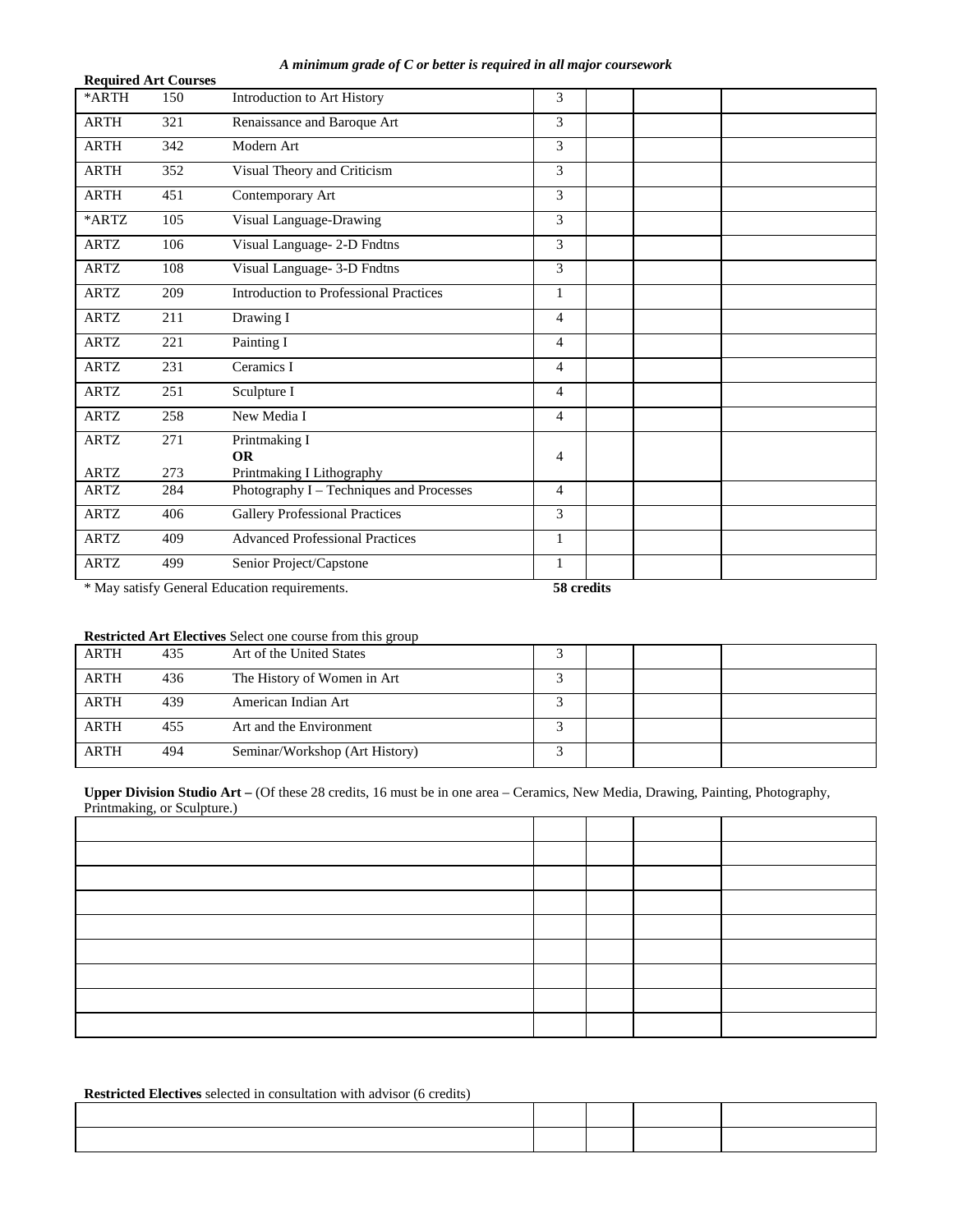#### *A minimum grade of C or better is required in all major coursework*

| <b>Required Art Courses</b> |            |                                                                       |                |  |
|-----------------------------|------------|-----------------------------------------------------------------------|----------------|--|
| *ARTH                       | 150        | Introduction to Art History                                           | 3              |  |
| <b>ARTH</b>                 | 321        | Renaissance and Baroque Art                                           | 3              |  |
| <b>ARTH</b>                 | 342        | Modern Art                                                            | 3              |  |
| <b>ARTH</b>                 | 352        | Visual Theory and Criticism                                           | 3              |  |
| <b>ARTH</b>                 | 451        | Contemporary Art                                                      | 3              |  |
| *ARTZ                       | 105        | Visual Language-Drawing                                               | 3              |  |
| <b>ARTZ</b>                 | 106        | Visual Language- 2-D Fndtns                                           | 3              |  |
| <b>ARTZ</b>                 | 108        | Visual Language- 3-D Fndtns                                           | 3              |  |
| <b>ARTZ</b>                 | 209        | Introduction to Professional Practices                                | $\mathbf{1}$   |  |
| <b>ARTZ</b>                 | 211        | Drawing I                                                             | $\overline{4}$ |  |
| <b>ARTZ</b>                 | 221        | Painting I                                                            | $\overline{4}$ |  |
| <b>ARTZ</b>                 | 231        | Ceramics I                                                            | $\overline{4}$ |  |
| <b>ARTZ</b>                 | 251        | Sculpture I                                                           | $\overline{4}$ |  |
| <b>ARTZ</b>                 | 258        | New Media I                                                           | $\overline{4}$ |  |
| <b>ARTZ</b><br><b>ARTZ</b>  | 271<br>273 | Printmaking I<br><b>OR</b>                                            | $\overline{4}$ |  |
| <b>ARTZ</b>                 | 284        | Printmaking I Lithography<br>Photography I - Techniques and Processes | $\overline{4}$ |  |
|                             |            |                                                                       |                |  |
| <b>ARTZ</b>                 | 406        | <b>Gallery Professional Practices</b>                                 | 3              |  |
| <b>ARTZ</b>                 | 409        | <b>Advanced Professional Practices</b>                                | 1              |  |
| <b>ARTZ</b>                 | 499        | Senior Project/Capstone                                               | $\mathbf{1}$   |  |
|                             |            | * May satisfy General Education requirements.                         | 58 credits     |  |

## **Restricted Art Electives** Select one course from this group

| <b>ARTH</b> | 435 | Art of the United States       |  |  |
|-------------|-----|--------------------------------|--|--|
| <b>ARTH</b> | 436 | The History of Women in Art    |  |  |
| <b>ARTH</b> | 439 | American Indian Art            |  |  |
| <b>ARTH</b> | 455 | Art and the Environment        |  |  |
| <b>ARTH</b> | 494 | Seminar/Workshop (Art History) |  |  |

## **Upper Division Studio Art –** (Of these 28 credits, 16 must be in one area – Ceramics, New Media, Drawing, Painting, Photography, Printmaking, or Sculpture.)

| $\sim$ $\sim$ $\sim$ $\sim$ $\sim$ $\sim$ |  |  |
|-------------------------------------------|--|--|
|                                           |  |  |
|                                           |  |  |
|                                           |  |  |
|                                           |  |  |
|                                           |  |  |
|                                           |  |  |
|                                           |  |  |
|                                           |  |  |

| <b>Restricted Electives</b> selected in consultation with advisor (6 credits) |  |  |  |  |
|-------------------------------------------------------------------------------|--|--|--|--|
|                                                                               |  |  |  |  |
|                                                                               |  |  |  |  |